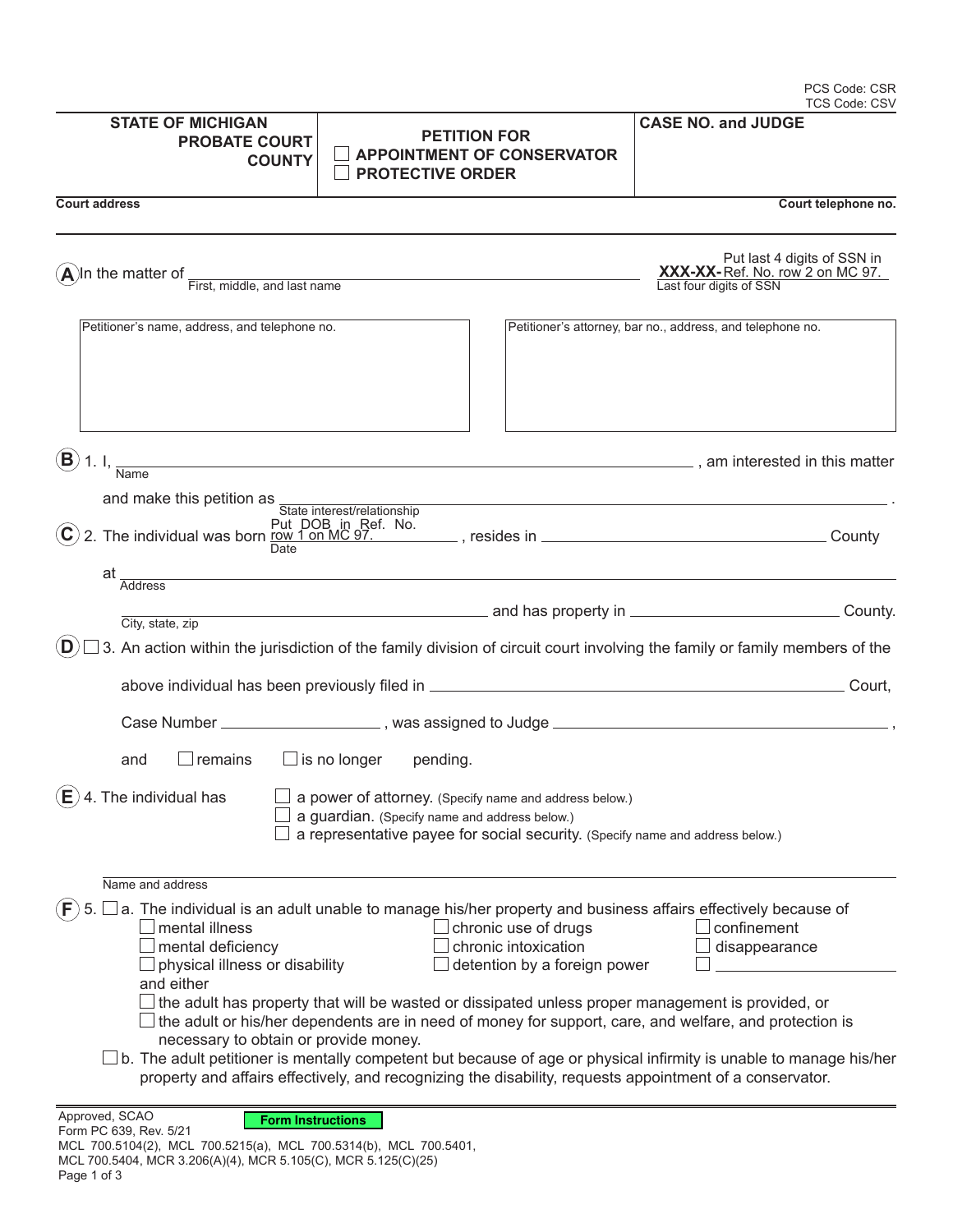| <b>STATE OF MICHIGAN</b><br><b>PROBATE COURT</b><br><b>COUNTY</b>                                                                                                                                         | <b>PETITION FOR</b><br><b>APPOINTMENT OF CONSERVATOR</b><br><b>PROTECTIVE ORDER</b>                                                                                                                                                                                                                                                                                                                                                                                                                                                                                                                                                                      | <b>CASE NO. and JUDGE</b>                                                                 |  |
|-----------------------------------------------------------------------------------------------------------------------------------------------------------------------------------------------------------|----------------------------------------------------------------------------------------------------------------------------------------------------------------------------------------------------------------------------------------------------------------------------------------------------------------------------------------------------------------------------------------------------------------------------------------------------------------------------------------------------------------------------------------------------------------------------------------------------------------------------------------------------------|-------------------------------------------------------------------------------------------|--|
| <b>Court address</b>                                                                                                                                                                                      |                                                                                                                                                                                                                                                                                                                                                                                                                                                                                                                                                                                                                                                          | Court telephone no.                                                                       |  |
|                                                                                                                                                                                                           | $\bf{A}$ In the matter of $\frac{1}{\text{First, middle, and last name}}$                                                                                                                                                                                                                                                                                                                                                                                                                                                                                                                                                                                | Put last 4 digits of SSN in<br>XXX-XX-Ref. No. row 2 on MC 97.<br>Last four digits of SSN |  |
| Petitioner's name, address, and telephone no.                                                                                                                                                             |                                                                                                                                                                                                                                                                                                                                                                                                                                                                                                                                                                                                                                                          | Petitioner's attorney, bar no., address, and telephone no.                                |  |
| $\bf (B)$                                                                                                                                                                                                 | 1. I, $\frac{1}{\text{Name}}$ am interested in this matter                                                                                                                                                                                                                                                                                                                                                                                                                                                                                                                                                                                               |                                                                                           |  |
| and make this petition as                                                                                                                                                                                 |                                                                                                                                                                                                                                                                                                                                                                                                                                                                                                                                                                                                                                                          |                                                                                           |  |
| $(\mathbf{C})$<br>Date                                                                                                                                                                                    | State interest/relationship                                                                                                                                                                                                                                                                                                                                                                                                                                                                                                                                                                                                                              |                                                                                           |  |
| at                                                                                                                                                                                                        | Address and the contract of the contract of the contract of the contract of the contract of the contract of the contract of the contract of the contract of the contract of the contract of the contract of the contract of th                                                                                                                                                                                                                                                                                                                                                                                                                           |                                                                                           |  |
|                                                                                                                                                                                                           |                                                                                                                                                                                                                                                                                                                                                                                                                                                                                                                                                                                                                                                          |                                                                                           |  |
| City, state, zip<br>(D                                                                                                                                                                                    |                                                                                                                                                                                                                                                                                                                                                                                                                                                                                                                                                                                                                                                          |                                                                                           |  |
|                                                                                                                                                                                                           | 3. An action within the jurisdiction of the family division of circuit court involving the family or family members of the                                                                                                                                                                                                                                                                                                                                                                                                                                                                                                                               |                                                                                           |  |
|                                                                                                                                                                                                           |                                                                                                                                                                                                                                                                                                                                                                                                                                                                                                                                                                                                                                                          |                                                                                           |  |
|                                                                                                                                                                                                           |                                                                                                                                                                                                                                                                                                                                                                                                                                                                                                                                                                                                                                                          |                                                                                           |  |
| $\Box$ remains<br>and                                                                                                                                                                                     | $\Box$ is no longer<br>pending.                                                                                                                                                                                                                                                                                                                                                                                                                                                                                                                                                                                                                          |                                                                                           |  |
| 4. The individual has<br>(E)                                                                                                                                                                              | a power of attorney. (Specify name and address below.)<br>a guardian. (Specify name and address below.)<br>a representative payee for social security. (Specify name and address below.)                                                                                                                                                                                                                                                                                                                                                                                                                                                                 |                                                                                           |  |
| Name and address                                                                                                                                                                                          |                                                                                                                                                                                                                                                                                                                                                                                                                                                                                                                                                                                                                                                          |                                                                                           |  |
| F<br>5.<br>mental illness<br>mental deficiency<br>physical illness or disability<br>and either<br>necessary to obtain or provide money.                                                                   | a. The individual is an adult unable to manage his/her property and business affairs effectively because of<br>chronic use of drugs<br>chronic intoxication<br>detention by a foreign power<br>the adult has property that will be wasted or dissipated unless proper management is provided, or<br>$\parallel$ the adult or his/her dependents are in need of money for support, care, and welfare, and protection is<br>b. The adult petitioner is mentally competent but because of age or physical infirmity is unable to manage his/her<br>property and affairs effectively, and recognizing the disability, requests appointment of a conservator. | confinement<br>disappearance                                                              |  |
| Approved, SCAO<br><b>Form Instructions</b><br>Form PC 639, Rev. 5/21<br>MCL 700.5104(2), MCL 700.5215(a), MCL 700.5314(b), MCL 700.5401,<br>MCL 700.5404, MCR 3.206(A)(4), MCR 5.105(C), MCR 5.125(C)(25) |                                                                                                                                                                                                                                                                                                                                                                                                                                                                                                                                                                                                                                                          |                                                                                           |  |

PCS Code: CSR TCS Code: CSV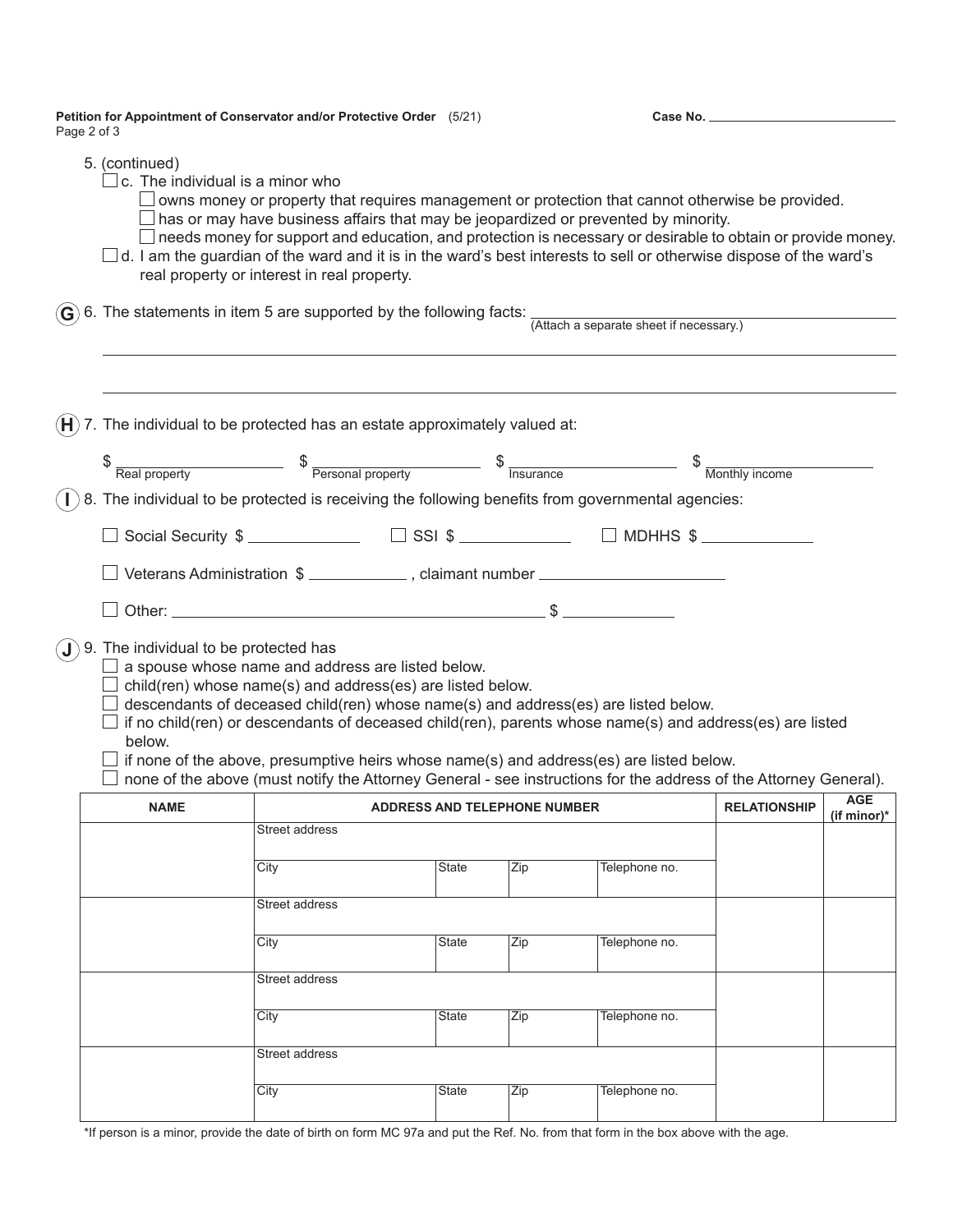**Petition for Appointment of Conservator and/or Protective Order** (5/21) Page 2 of 3

**Case No.**

|                | 5. (continued)<br>$\!\!\!\Box$ c. The individual is a minor who                                                                                                                                                                                                                                                     | real property or interest in real property.                                                                                                                                                                                                                                                                                                                                                                                                                                                                |              |     |                                                                                 |                              |  |  |  |
|----------------|---------------------------------------------------------------------------------------------------------------------------------------------------------------------------------------------------------------------------------------------------------------------------------------------------------------------|------------------------------------------------------------------------------------------------------------------------------------------------------------------------------------------------------------------------------------------------------------------------------------------------------------------------------------------------------------------------------------------------------------------------------------------------------------------------------------------------------------|--------------|-----|---------------------------------------------------------------------------------|------------------------------|--|--|--|
|                | $\left(\widehat{G}\right)$ 6. The statements in item 5 are supported by the following facts: $\frac{1}{(Atach a separate sheet if necessary.)}$                                                                                                                                                                     |                                                                                                                                                                                                                                                                                                                                                                                                                                                                                                            |              |     |                                                                                 |                              |  |  |  |
| $(\mathsf{H})$ |                                                                                                                                                                                                                                                                                                                     | 7. The individual to be protected has an estate approximately valued at:                                                                                                                                                                                                                                                                                                                                                                                                                                   |              |     |                                                                                 |                              |  |  |  |
|                | $\frac{1}{2}$ $\frac{1}{2}$ $\frac{1}{2}$ $\frac{1}{2}$ $\frac{1}{2}$ $\frac{1}{2}$ $\frac{1}{2}$ $\frac{1}{2}$ $\frac{1}{2}$ $\frac{1}{2}$ $\frac{1}{2}$ $\frac{1}{2}$ $\frac{1}{2}$ $\frac{1}{2}$ $\frac{1}{2}$ $\frac{1}{2}$ $\frac{1}{2}$ $\frac{1}{2}$ $\frac{1}{2}$ $\frac{1}{2}$ $\frac{1}{2}$ $\frac{1}{2}$ |                                                                                                                                                                                                                                                                                                                                                                                                                                                                                                            |              |     |                                                                                 |                              |  |  |  |
|                | 8. The individual to be protected is receiving the following benefits from governmental agencies:                                                                                                                                                                                                                   |                                                                                                                                                                                                                                                                                                                                                                                                                                                                                                            |              |     |                                                                                 |                              |  |  |  |
|                |                                                                                                                                                                                                                                                                                                                     |                                                                                                                                                                                                                                                                                                                                                                                                                                                                                                            |              |     |                                                                                 |                              |  |  |  |
|                |                                                                                                                                                                                                                                                                                                                     |                                                                                                                                                                                                                                                                                                                                                                                                                                                                                                            |              |     | Social Security \$ _______________ □ SSI \$ ____________ □ MDHHS \$ ___________ |                              |  |  |  |
|                |                                                                                                                                                                                                                                                                                                                     | Veterans Administration \$ _____________, claimant number _______________________                                                                                                                                                                                                                                                                                                                                                                                                                          |              |     |                                                                                 |                              |  |  |  |
|                |                                                                                                                                                                                                                                                                                                                     |                                                                                                                                                                                                                                                                                                                                                                                                                                                                                                            |              |     |                                                                                 |                              |  |  |  |
|                |                                                                                                                                                                                                                                                                                                                     |                                                                                                                                                                                                                                                                                                                                                                                                                                                                                                            |              |     |                                                                                 |                              |  |  |  |
| $(\mathbf{J})$ | below.                                                                                                                                                                                                                                                                                                              | 9. The individual to be protected has<br>$\Box$ a spouse whose name and address are listed below.<br>$\Box$ child(ren) whose name(s) and address(es) are listed below.<br>$\Box$ descendants of deceased child(ren) whose name(s) and address(es) are listed below.<br>$\Box$ if no child(ren) or descendants of deceased child(ren), parents whose name(s) and address(es) are listed<br>none of the above (must notify the Attorney General - see instructions for the address of the Attorney General). |              |     |                                                                                 |                              |  |  |  |
|                | <b>NAME</b>                                                                                                                                                                                                                                                                                                         | <b>ADDRESS AND TELEPHONE NUMBER</b>                                                                                                                                                                                                                                                                                                                                                                                                                                                                        |              |     | <b>RELATIONSHIP</b>                                                             | <b>AGE</b><br>(if minor) $*$ |  |  |  |
|                |                                                                                                                                                                                                                                                                                                                     | Street address                                                                                                                                                                                                                                                                                                                                                                                                                                                                                             |              |     |                                                                                 |                              |  |  |  |
|                |                                                                                                                                                                                                                                                                                                                     | City                                                                                                                                                                                                                                                                                                                                                                                                                                                                                                       | State        | Zip | Telephone no.                                                                   |                              |  |  |  |
|                |                                                                                                                                                                                                                                                                                                                     | Street address                                                                                                                                                                                                                                                                                                                                                                                                                                                                                             |              |     |                                                                                 |                              |  |  |  |
|                |                                                                                                                                                                                                                                                                                                                     |                                                                                                                                                                                                                                                                                                                                                                                                                                                                                                            |              |     |                                                                                 |                              |  |  |  |
|                |                                                                                                                                                                                                                                                                                                                     | City                                                                                                                                                                                                                                                                                                                                                                                                                                                                                                       | <b>State</b> | Zip | Telephone no.                                                                   |                              |  |  |  |
|                |                                                                                                                                                                                                                                                                                                                     | Street address                                                                                                                                                                                                                                                                                                                                                                                                                                                                                             |              |     |                                                                                 |                              |  |  |  |
|                |                                                                                                                                                                                                                                                                                                                     | City                                                                                                                                                                                                                                                                                                                                                                                                                                                                                                       | <b>State</b> | Zip | Telephone no.                                                                   |                              |  |  |  |
|                |                                                                                                                                                                                                                                                                                                                     |                                                                                                                                                                                                                                                                                                                                                                                                                                                                                                            |              |     |                                                                                 |                              |  |  |  |
|                |                                                                                                                                                                                                                                                                                                                     | Street address                                                                                                                                                                                                                                                                                                                                                                                                                                                                                             |              |     |                                                                                 |                              |  |  |  |
|                |                                                                                                                                                                                                                                                                                                                     | City                                                                                                                                                                                                                                                                                                                                                                                                                                                                                                       | State        | Zip | Telephone no.                                                                   |                              |  |  |  |
|                |                                                                                                                                                                                                                                                                                                                     |                                                                                                                                                                                                                                                                                                                                                                                                                                                                                                            |              |     |                                                                                 |                              |  |  |  |

\*If person is a minor, provide the date of birth on form MC 97a and put the Ref. No. from that form in the box above with the age.